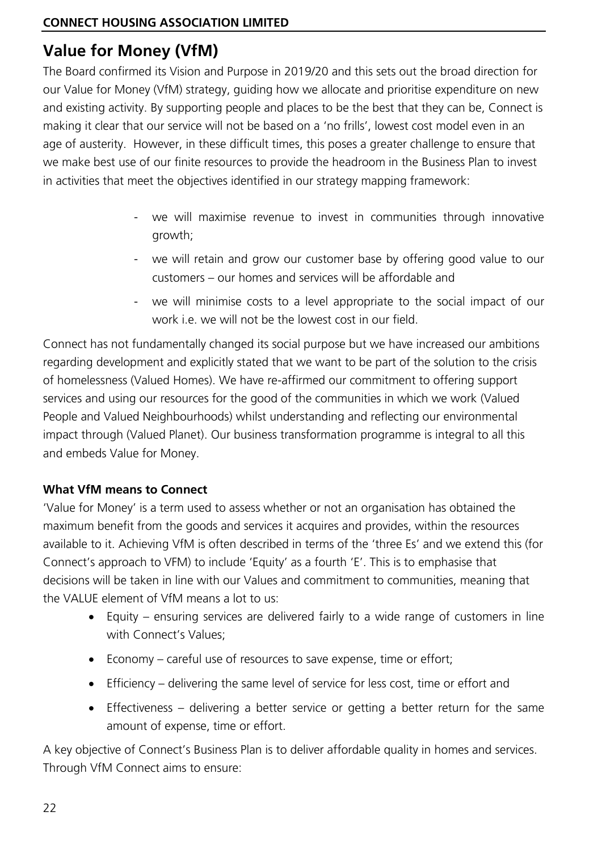# **Value for Money (VfM)**

The Board confirmed its Vision and Purpose in 2019/20 and this sets out the broad direction for our Value for Money (VfM) strategy, guiding how we allocate and prioritise expenditure on new and existing activity. By supporting people and places to be the best that they can be, Connect is making it clear that our service will not be based on a 'no frills', lowest cost model even in an age of austerity. However, in these difficult times, this poses a greater challenge to ensure that we make best use of our finite resources to provide the headroom in the Business Plan to invest in activities that meet the objectives identified in our strategy mapping framework:

- we will maximise revenue to invest in communities through innovative growth;
- we will retain and grow our customer base by offering good value to our customers – our homes and services will be affordable and
- we will minimise costs to a level appropriate to the social impact of our work i.e. we will not be the lowest cost in our field.

Connect has not fundamentally changed its social purpose but we have increased our ambitions regarding development and explicitly stated that we want to be part of the solution to the crisis of homelessness (Valued Homes). We have re-affirmed our commitment to offering support services and using our resources for the good of the communities in which we work (Valued People and Valued Neighbourhoods) whilst understanding and reflecting our environmental impact through (Valued Planet). Our business transformation programme is integral to all this and embeds Value for Money.

#### **What VfM means to Connect**

'Value for Money' is a term used to assess whether or not an organisation has obtained the maximum benefit from the goods and services it acquires and provides, within the resources available to it. Achieving VfM is often described in terms of the 'three Es' and we extend this (for Connect's approach to VFM) to include 'Equity' as a fourth 'E'. This is to emphasise that decisions will be taken in line with our Values and commitment to communities, meaning that the VALUE element of VfM means a lot to us:

- Equity ensuring services are delivered fairly to a wide range of customers in line with Connect's Values;
- Economy careful use of resources to save expense, time or effort;
- Efficiency delivering the same level of service for less cost, time or effort and
- Effectiveness delivering a better service or getting a better return for the same amount of expense, time or effort.

A key objective of Connect's Business Plan is to deliver affordable quality in homes and services. Through VfM Connect aims to ensure: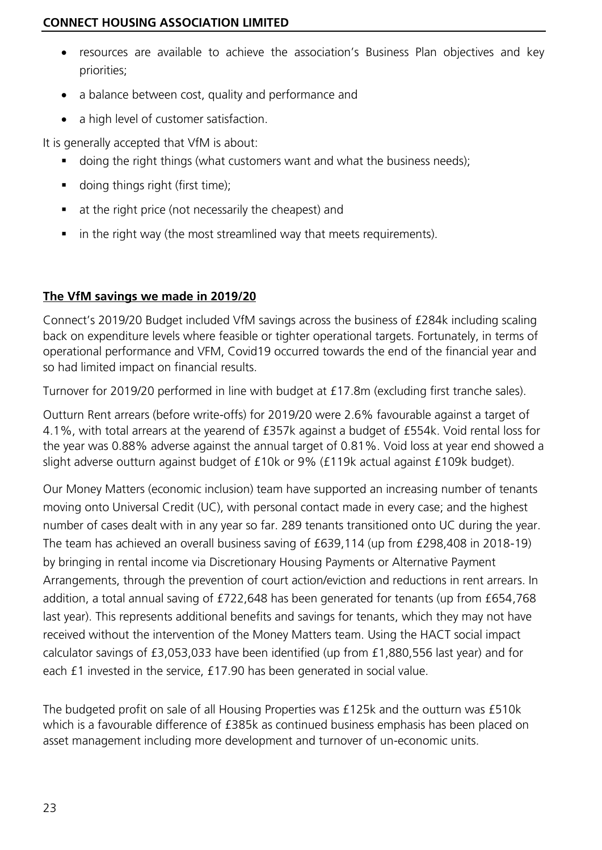- resources are available to achieve the association's Business Plan objectives and key priorities;
- a balance between cost, quality and performance and
- a high level of customer satisfaction.

It is generally accepted that VfM is about:

- doing the right things (what customers want and what the business needs);
- doing things right (first time);
- at the right price (not necessarily the cheapest) and
- in the right way (the most streamlined way that meets requirements).

#### **The VfM savings we made in 2019/20**

Connect's 2019/20 Budget included VfM savings across the business of £284k including scaling back on expenditure levels where feasible or tighter operational targets. Fortunately, in terms of operational performance and VFM, Covid19 occurred towards the end of the financial year and so had limited impact on financial results.

Turnover for 2019/20 performed in line with budget at £17.8m (excluding first tranche sales).

Outturn Rent arrears (before write-offs) for 2019/20 were 2.6% favourable against a target of 4.1%, with total arrears at the yearend of £357k against a budget of £554k. Void rental loss for the year was 0.88% adverse against the annual target of 0.81%. Void loss at year end showed a slight adverse outturn against budget of £10k or 9% (£119k actual against £109k budget).

Our Money Matters (economic inclusion) team have supported an increasing number of tenants moving onto Universal Credit (UC), with personal contact made in every case; and the highest number of cases dealt with in any year so far. 289 tenants transitioned onto UC during the year. The team has achieved an overall business saving of £639,114 (up from £298,408 in 2018-19) by bringing in rental income via Discretionary Housing Payments or Alternative Payment Arrangements, through the prevention of court action/eviction and reductions in rent arrears. In addition, a total annual saving of £722,648 has been generated for tenants (up from £654,768 last year). This represents additional benefits and savings for tenants, which they may not have received without the intervention of the Money Matters team. Using the HACT social impact calculator savings of £3,053,033 have been identified (up from £1,880,556 last year) and for each £1 invested in the service, £17.90 has been generated in social value.

The budgeted profit on sale of all Housing Properties was £125k and the outturn was £510k which is a favourable difference of £385k as continued business emphasis has been placed on asset management including more development and turnover of un-economic units.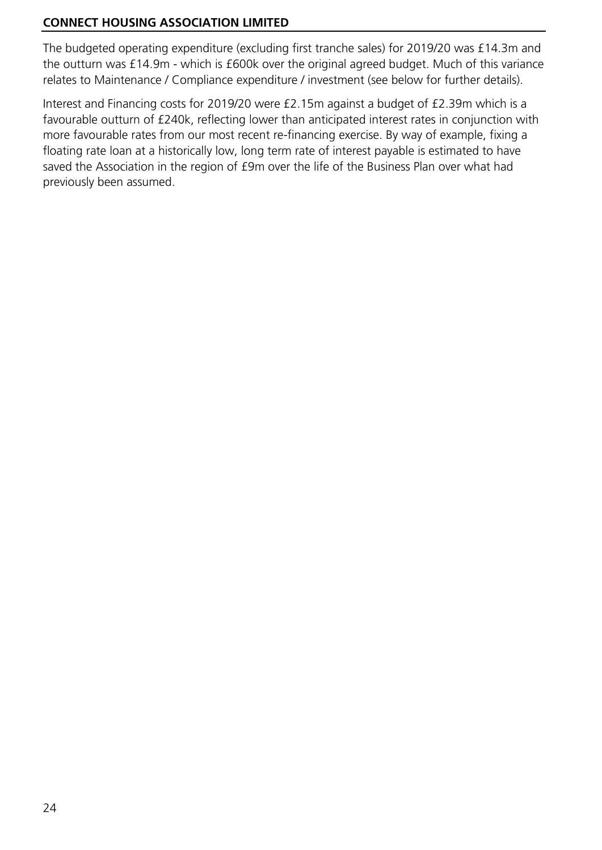The budgeted operating expenditure (excluding first tranche sales) for 2019/20 was £14.3m and the outturn was £14.9m - which is £600k over the original agreed budget. Much of this variance relates to Maintenance / Compliance expenditure / investment (see below for further details).

Interest and Financing costs for 2019/20 were £2.15m against a budget of £2.39m which is a favourable outturn of £240k, reflecting lower than anticipated interest rates in conjunction with more favourable rates from our most recent re-financing exercise. By way of example, fixing a floating rate loan at a historically low, long term rate of interest payable is estimated to have saved the Association in the region of £9m over the life of the Business Plan over what had previously been assumed.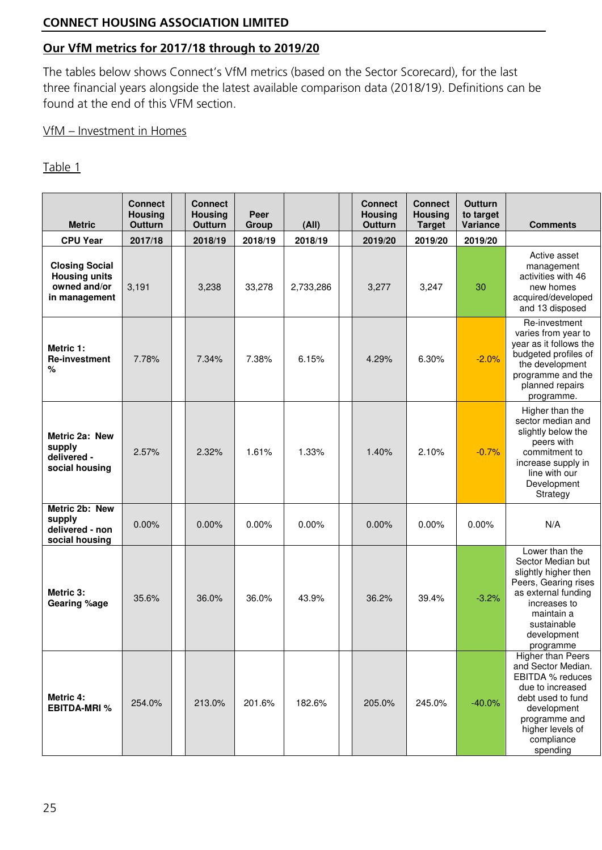#### **Our VfM metrics for 2017/18 through to 2019/20**

The tables below shows Connect's VfM metrics (based on the Sector Scorecard), for the last three financial years alongside the latest available comparison data (2018/19). Definitions can be found at the end of this VFM section.

#### VfM – Investment in Homes

| <b>Metric</b>                                                                  | <b>Connect</b><br><b>Housing</b><br>Outturn | <b>Connect</b><br><b>Housing</b><br>Outturn | Peer<br>Group | (AII)     | <b>Connect</b><br><b>Housing</b><br>Outturn | <b>Connect</b><br><b>Housing</b><br><b>Target</b> | Outturn<br>to target<br>Variance | <b>Comments</b>                                                                                                                                                                     |
|--------------------------------------------------------------------------------|---------------------------------------------|---------------------------------------------|---------------|-----------|---------------------------------------------|---------------------------------------------------|----------------------------------|-------------------------------------------------------------------------------------------------------------------------------------------------------------------------------------|
| <b>CPU Year</b>                                                                | 2017/18                                     | 2018/19                                     | 2018/19       | 2018/19   | 2019/20                                     | 2019/20                                           | 2019/20                          |                                                                                                                                                                                     |
| <b>Closing Social</b><br><b>Housing units</b><br>owned and/or<br>in management | 3,191                                       | 3,238                                       | 33,278        | 2,733,286 | 3,277                                       | 3,247                                             | 30                               | Active asset<br>management<br>activities with 46<br>new homes<br>acquired/developed<br>and 13 disposed                                                                              |
| Metric 1:<br><b>Re-investment</b><br>%                                         | 7.78%                                       | 7.34%                                       | 7.38%         | 6.15%     | 4.29%                                       | 6.30%                                             | $-2.0%$                          | Re-investment<br>varies from year to<br>year as it follows the<br>budgeted profiles of<br>the development<br>programme and the<br>planned repairs<br>programme.                     |
| Metric 2a: New<br>supply<br>delivered -<br>social housing                      | 2.57%                                       | 2.32%                                       | 1.61%         | 1.33%     | 1.40%                                       | 2.10%                                             | $-0.7%$                          | Higher than the<br>sector median and<br>slightly below the<br>peers with<br>commitment to<br>increase supply in<br>line with our<br>Development<br>Strategy                         |
| Metric 2b: New<br>supply<br>delivered - non<br>social housing                  | 0.00%                                       | 0.00%                                       | 0.00%         | 0.00%     | 0.00%                                       | $0.00\%$                                          | 0.00%                            | N/A                                                                                                                                                                                 |
| Metric 3:<br>Gearing %age                                                      | 35.6%                                       | 36.0%                                       | 36.0%         | 43.9%     | 36.2%                                       | 39.4%                                             | $-3.2%$                          | Lower than the<br>Sector Median but<br>slightly higher then<br>Peers, Gearing rises<br>as external funding<br>increases to<br>maintain a<br>sustainable<br>development<br>programme |
| Metric 4:<br><b>EBITDA-MRI %</b>                                               | 254.0%                                      | 213.0%                                      | 201.6%        | 182.6%    | 205.0%                                      | 245.0%                                            | $-40.0%$                         | Higher than Peers<br>and Sector Median.<br>EBITDA % reduces<br>due to increased<br>debt used to fund<br>development<br>programme and<br>higher levels of<br>compliance<br>spending  |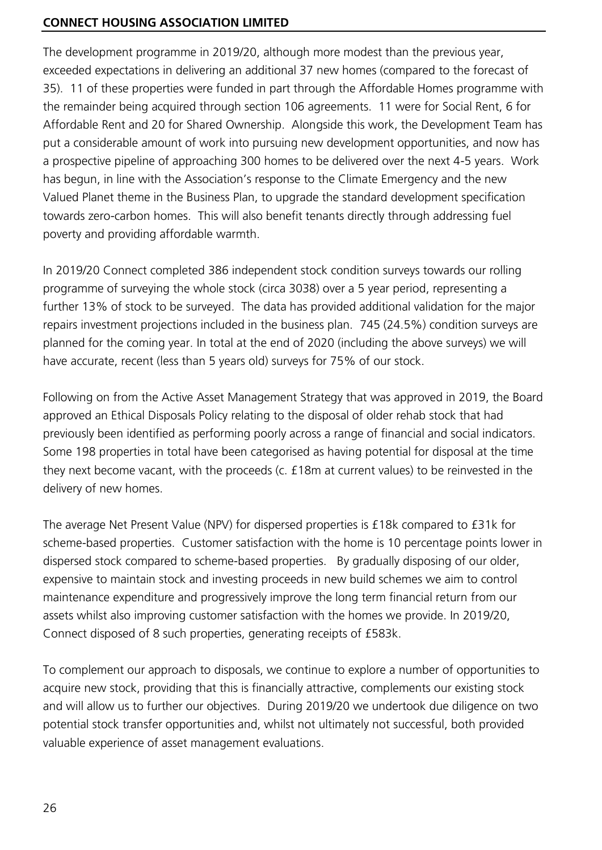The development programme in 2019/20, although more modest than the previous year, exceeded expectations in delivering an additional 37 new homes (compared to the forecast of 35). 11 of these properties were funded in part through the Affordable Homes programme with the remainder being acquired through section 106 agreements. 11 were for Social Rent, 6 for Affordable Rent and 20 for Shared Ownership. Alongside this work, the Development Team has put a considerable amount of work into pursuing new development opportunities, and now has a prospective pipeline of approaching 300 homes to be delivered over the next 4-5 years. Work has begun, in line with the Association's response to the Climate Emergency and the new Valued Planet theme in the Business Plan, to upgrade the standard development specification towards zero-carbon homes. This will also benefit tenants directly through addressing fuel poverty and providing affordable warmth.

In 2019/20 Connect completed 386 independent stock condition surveys towards our rolling programme of surveying the whole stock (circa 3038) over a 5 year period, representing a further 13% of stock to be surveyed. The data has provided additional validation for the major repairs investment projections included in the business plan. 745 (24.5%) condition surveys are planned for the coming year. In total at the end of 2020 (including the above surveys) we will have accurate, recent (less than 5 years old) surveys for 75% of our stock.

Following on from the Active Asset Management Strategy that was approved in 2019, the Board approved an Ethical Disposals Policy relating to the disposal of older rehab stock that had previously been identified as performing poorly across a range of financial and social indicators. Some 198 properties in total have been categorised as having potential for disposal at the time they next become vacant, with the proceeds (c. £18m at current values) to be reinvested in the delivery of new homes.

The average Net Present Value (NPV) for dispersed properties is £18k compared to £31k for scheme-based properties. Customer satisfaction with the home is 10 percentage points lower in dispersed stock compared to scheme-based properties. By gradually disposing of our older, expensive to maintain stock and investing proceeds in new build schemes we aim to control maintenance expenditure and progressively improve the long term financial return from our assets whilst also improving customer satisfaction with the homes we provide. In 2019/20, Connect disposed of 8 such properties, generating receipts of £583k.

To complement our approach to disposals, we continue to explore a number of opportunities to acquire new stock, providing that this is financially attractive, complements our existing stock and will allow us to further our objectives. During 2019/20 we undertook due diligence on two potential stock transfer opportunities and, whilst not ultimately not successful, both provided valuable experience of asset management evaluations.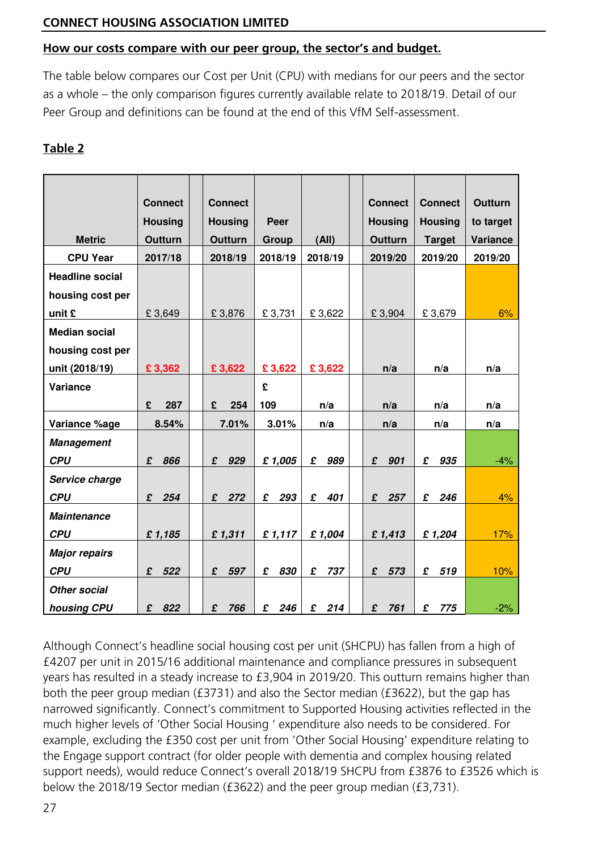#### **How our costs compare with our peer group, the sector's and budget.**

The table below compares our Cost per Unit (CPU) with medians for our peers and the sector as a whole – the only comparison figures currently available relate to 2018/19. Detail of our Peer Group and definitions can be found at the end of this VfM Self-assessment.

### **Table 2**

|                        | <b>Connect</b> | <b>Connect</b>      |          |          | <b>Connect</b>     | <b>Connect</b> | <b>Outturn</b> |
|------------------------|----------------|---------------------|----------|----------|--------------------|----------------|----------------|
|                        | <b>Housing</b> | <b>Housing</b>      | Peer     |          | <b>Housing</b>     | <b>Housing</b> | to target      |
| <b>Metric</b>          | <b>Outturn</b> | <b>Outturn</b>      | Group    | (AII)    | <b>Outturn</b>     | <b>Target</b>  | Variance       |
| <b>CPU Year</b>        | 2017/18        | 2018/19             | 2018/19  | 2018/19  | 2019/20            | 2019/20        | 2019/20        |
| <b>Headline social</b> |                |                     |          |          |                    |                |                |
| housing cost per       |                |                     |          |          |                    |                |                |
| unit £                 | £3,649         | £3,876              | £3,731   | £3,622   | £3,904             | £3,679         | 6%             |
| <b>Median social</b>   |                |                     |          |          |                    |                |                |
| housing cost per       |                |                     |          |          |                    |                |                |
| unit (2018/19)         | £3,362         | £3,622              | £3,622   | £3,622   | n/a                | n/a            | n/a            |
| Variance               |                |                     | £        |          |                    |                |                |
|                        | 287<br>£       | £<br>254            | 109      | n/a      | n/a                | n/a            | n/a            |
| Variance %age          | 8.54%          | 7.01%               | 3.01%    | n/a      | n/a                | n/a            | n/a            |
| <b>Management</b>      |                |                     |          |          |                    |                |                |
| <b>CPU</b>             | £<br>866       | 929<br>$\mathbf{f}$ | £1,005   | £<br>989 | £<br>901           | £<br>935       | $-4%$          |
| Service charge         |                |                     |          |          |                    |                |                |
| <b>CPU</b>             | £<br>254       | $\mathbf{f}$<br>272 | £<br>293 | £<br>401 | $\mathbf f$<br>257 | £<br>246       | 4%             |
| <b>Maintenance</b>     |                |                     |          |          |                    |                |                |
| <b>CPU</b>             | £1,185         | £1,311              | £1,117   | £1,004   | £1,413             | £1,204         | 17%            |
| <b>Major repairs</b>   |                |                     |          |          |                    |                |                |
| <b>CPU</b>             | 522<br>£       | £ 597               | 830<br>£ | £<br>737 | £<br>573           | 519<br>£       | 10%            |
| <b>Other social</b>    |                |                     |          |          |                    |                |                |
| housing CPU            | 822<br>£       | £<br>766            | £<br>246 | £<br>214 | £<br>761           | 775<br>£       | $-2%$          |

Although Connect's headline social housing cost per unit (SHCPU) has fallen from a high of £4207 per unit in 2015/16 additional maintenance and compliance pressures in subsequent years has resulted in a steady increase to £3,904 in 2019/20. This outturn remains higher than both the peer group median (£3731) and also the Sector median (£3622), but the gap has narrowed significantly. Connect's commitment to Supported Housing activities reflected in the much higher levels of 'Other Social Housing ' expenditure also needs to be considered. For example, excluding the £350 cost per unit from 'Other Social Housing' expenditure relating to the Engage support contract (for older people with dementia and complex housing related support needs), would reduce Connect's overall 2018/19 SHCPU from £3876 to £3526 which is below the 2018/19 Sector median (£3622) and the peer group median (£3,731).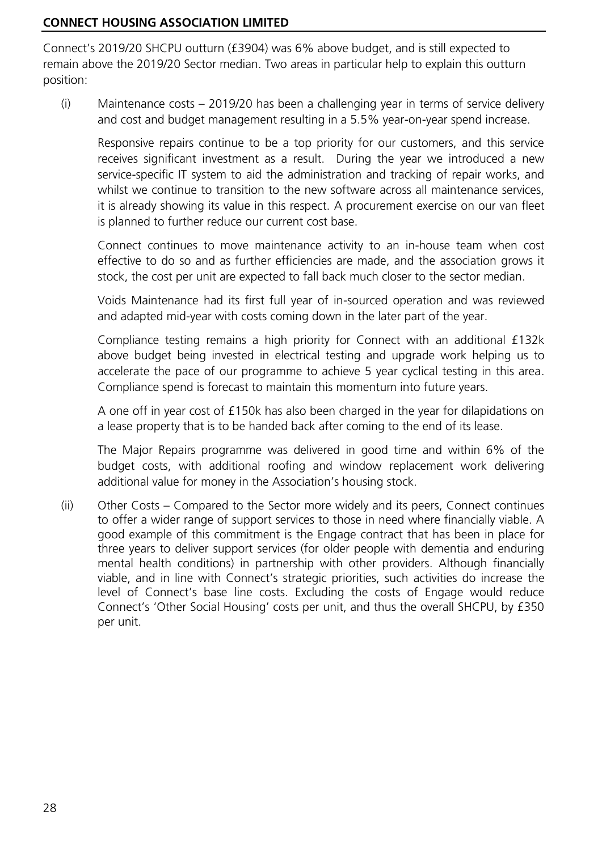Connect's 2019/20 SHCPU outturn (£3904) was 6% above budget, and is still expected to remain above the 2019/20 Sector median. Two areas in particular help to explain this outturn position:

(i) Maintenance costs – 2019/20 has been a challenging year in terms of service delivery and cost and budget management resulting in a 5.5% year-on-year spend increase.

Responsive repairs continue to be a top priority for our customers, and this service receives significant investment as a result. During the year we introduced a new service-specific IT system to aid the administration and tracking of repair works, and whilst we continue to transition to the new software across all maintenance services, it is already showing its value in this respect. A procurement exercise on our van fleet is planned to further reduce our current cost base.

Connect continues to move maintenance activity to an in-house team when cost effective to do so and as further efficiencies are made, and the association grows it stock, the cost per unit are expected to fall back much closer to the sector median.

Voids Maintenance had its first full year of in-sourced operation and was reviewed and adapted mid-year with costs coming down in the later part of the year.

Compliance testing remains a high priority for Connect with an additional £132k above budget being invested in electrical testing and upgrade work helping us to accelerate the pace of our programme to achieve 5 year cyclical testing in this area. Compliance spend is forecast to maintain this momentum into future years.

A one off in year cost of £150k has also been charged in the year for dilapidations on a lease property that is to be handed back after coming to the end of its lease.

The Major Repairs programme was delivered in good time and within 6% of the budget costs, with additional roofing and window replacement work delivering additional value for money in the Association's housing stock.

(ii) Other Costs – Compared to the Sector more widely and its peers, Connect continues to offer a wider range of support services to those in need where financially viable. A good example of this commitment is the Engage contract that has been in place for three years to deliver support services (for older people with dementia and enduring mental health conditions) in partnership with other providers. Although financially viable, and in line with Connect's strategic priorities, such activities do increase the level of Connect's base line costs. Excluding the costs of Engage would reduce Connect's 'Other Social Housing' costs per unit, and thus the overall SHCPU, by £350 per unit.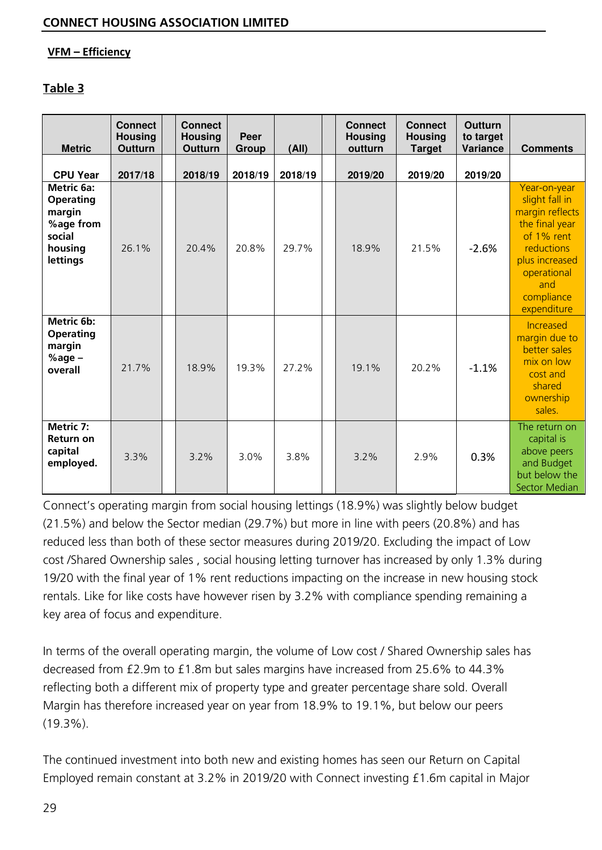#### **VFM – Efficiency**

#### **Table 3**

| <b>Metric</b>                                                                          | <b>Connect</b><br><b>Housing</b><br>Outturn | <b>Connect</b><br><b>Housing</b><br><b>Outturn</b> | Peer<br>Group | (AII)   | <b>Connect</b><br><b>Housing</b><br>outturn | <b>Connect</b><br><b>Housing</b><br><b>Target</b> | <b>Outturn</b><br>to target<br>Variance | <b>Comments</b>                                                                                                                                                             |
|----------------------------------------------------------------------------------------|---------------------------------------------|----------------------------------------------------|---------------|---------|---------------------------------------------|---------------------------------------------------|-----------------------------------------|-----------------------------------------------------------------------------------------------------------------------------------------------------------------------------|
| <b>CPU Year</b>                                                                        | 2017/18                                     | 2018/19                                            | 2018/19       | 2018/19 | 2019/20                                     | 2019/20                                           | 2019/20                                 |                                                                                                                                                                             |
| Metric 6a:<br><b>Operating</b><br>margin<br>%age from<br>social<br>housing<br>lettings | 26.1%                                       | 20.4%                                              | 20.8%         | 29.7%   | 18.9%                                       | 21.5%                                             | $-2.6%$                                 | Year-on-year<br>slight fall in<br>margin reflects<br>the final year<br>of 1% rent<br><b>reductions</b><br>plus increased<br>operational<br>and<br>compliance<br>expenditure |
| Metric 6b:<br><b>Operating</b><br>margin<br>%age $-$<br>overall                        | 21.7%                                       | 18.9%                                              | 19.3%         | 27.2%   | 19.1%                                       | 20.2%                                             | $-1.1%$                                 | Increased<br>margin due to<br>better sales<br>mix on low<br>cost and<br>shared<br>ownership<br>sales.                                                                       |
| Metric 7:<br><b>Return on</b><br>capital<br>employed.                                  | 3.3%                                        | 3.2%                                               | 3.0%          | 3.8%    | 3.2%                                        | 2.9%                                              | 0.3%                                    | The return on<br>capital is<br>above peers<br>and Budget<br>but below the<br><b>Sector Median</b>                                                                           |

Connect's operating margin from social housing lettings (18.9%) was slightly below budget (21.5%) and below the Sector median (29.7%) but more in line with peers (20.8%) and has reduced less than both of these sector measures during 2019/20. Excluding the impact of Low cost /Shared Ownership sales , social housing letting turnover has increased by only 1.3% during 19/20 with the final year of 1% rent reductions impacting on the increase in new housing stock rentals. Like for like costs have however risen by 3.2% with compliance spending remaining a key area of focus and expenditure.

In terms of the overall operating margin, the volume of Low cost / Shared Ownership sales has decreased from £2.9m to £1.8m but sales margins have increased from 25.6% to 44.3% reflecting both a different mix of property type and greater percentage share sold. Overall Margin has therefore increased year on year from 18.9% to 19.1%, but below our peers (19.3%).

The continued investment into both new and existing homes has seen our Return on Capital Employed remain constant at 3.2% in 2019/20 with Connect investing £1.6m capital in Major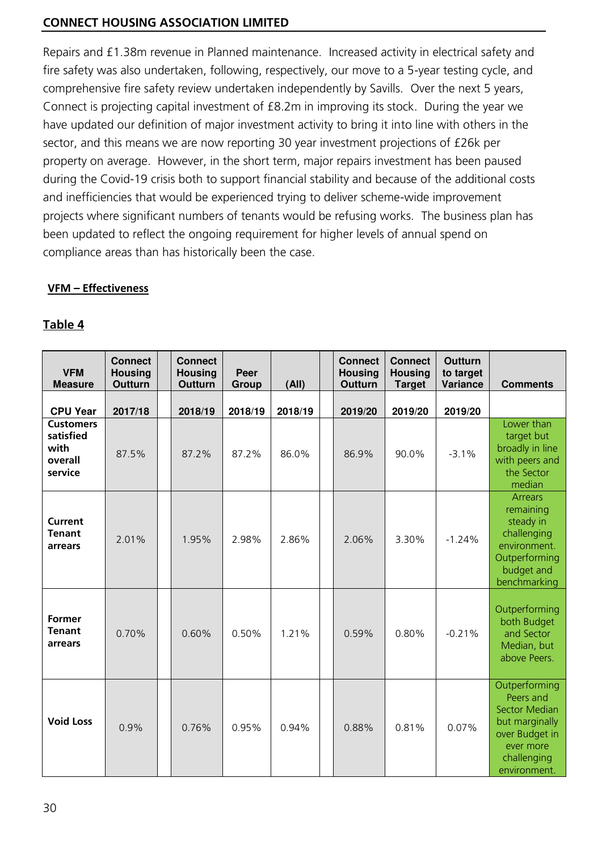Repairs and £1.38m revenue in Planned maintenance. Increased activity in electrical safety and fire safety was also undertaken, following, respectively, our move to a 5-year testing cycle, and comprehensive fire safety review undertaken independently by Savills. Over the next 5 years, Connect is projecting capital investment of £8.2m in improving its stock. During the year we have updated our definition of major investment activity to bring it into line with others in the sector, and this means we are now reporting 30 year investment projections of £26k per property on average. However, in the short term, major repairs investment has been paused during the Covid-19 crisis both to support financial stability and because of the additional costs and inefficiencies that would be experienced trying to deliver scheme-wide improvement projects where significant numbers of tenants would be refusing works. The business plan has been updated to reflect the ongoing requirement for higher levels of annual spend on compliance areas than has historically been the case.

#### **VFM – Effectiveness**

| <b>VFM</b><br><b>Measure</b>                                | <b>Connect</b><br><b>Housing</b><br><b>Outturn</b> | <b>Connect</b><br><b>Housing</b><br><b>Outturn</b> | Peer<br>Group | (A  )   | <b>Connect</b><br><b>Housing</b><br><b>Outturn</b> | <b>Connect</b><br><b>Housing</b><br><b>Target</b> | <b>Outturn</b><br>to target<br>Variance | <b>Comments</b>                                                                                                                    |
|-------------------------------------------------------------|----------------------------------------------------|----------------------------------------------------|---------------|---------|----------------------------------------------------|---------------------------------------------------|-----------------------------------------|------------------------------------------------------------------------------------------------------------------------------------|
| <b>CPU Year</b>                                             | 2017/18                                            | 2018/19                                            | 2018/19       | 2018/19 | 2019/20                                            | 2019/20                                           | 2019/20                                 |                                                                                                                                    |
| <b>Customers</b><br>satisfied<br>with<br>overall<br>service | 87.5%                                              | 87.2%                                              | 87.2%         | 86.0%   | 86.9%                                              | 90.0%                                             | $-3.1%$                                 | Lower than<br>target but<br>broadly in line<br>with peers and<br>the Sector<br>median                                              |
| <b>Current</b><br><b>Tenant</b><br>arrears                  | 2.01%                                              | 1.95%                                              | 2.98%         | 2.86%   | 2.06%                                              | 3.30%                                             | $-1.24%$                                | <b>Arrears</b><br>remaining<br>steady in<br>challenging<br>environment.<br>Outperforming<br>budget and<br>benchmarking             |
| <b>Former</b><br><b>Tenant</b><br>arrears                   | 0.70%                                              | 0.60%                                              | 0.50%         | 1.21%   | 0.59%                                              | 0.80%                                             | $-0.21%$                                | Outperforming<br>both Budget<br>and Sector<br>Median, but<br>above Peers.                                                          |
| <b>Void Loss</b>                                            | 0.9%                                               | 0.76%                                              | 0.95%         | 0.94%   | 0.88%                                              | 0.81%                                             | 0.07%                                   | Outperforming<br>Peers and<br><b>Sector Median</b><br>but marginally<br>over Budget in<br>ever more<br>challenging<br>environment. |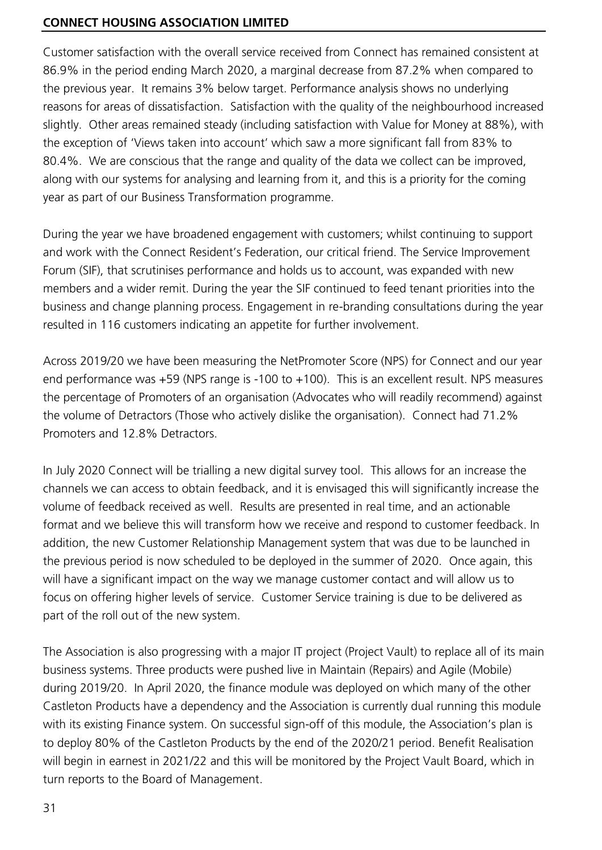Customer satisfaction with the overall service received from Connect has remained consistent at 86.9% in the period ending March 2020, a marginal decrease from 87.2% when compared to the previous year. It remains 3% below target. Performance analysis shows no underlying reasons for areas of dissatisfaction. Satisfaction with the quality of the neighbourhood increased slightly. Other areas remained steady (including satisfaction with Value for Money at 88%), with the exception of 'Views taken into account' which saw a more significant fall from 83% to 80.4%. We are conscious that the range and quality of the data we collect can be improved, along with our systems for analysing and learning from it, and this is a priority for the coming year as part of our Business Transformation programme.

During the year we have broadened engagement with customers; whilst continuing to support and work with the Connect Resident's Federation, our critical friend. The Service Improvement Forum (SIF), that scrutinises performance and holds us to account, was expanded with new members and a wider remit. During the year the SIF continued to feed tenant priorities into the business and change planning process. Engagement in re-branding consultations during the year resulted in 116 customers indicating an appetite for further involvement.

Across 2019/20 we have been measuring the NetPromoter Score (NPS) for Connect and our year end performance was +59 (NPS range is -100 to +100). This is an excellent result. NPS measures the percentage of Promoters of an organisation (Advocates who will readily recommend) against the volume of Detractors (Those who actively dislike the organisation). Connect had 71.2% Promoters and 12.8% Detractors.

In July 2020 Connect will be trialling a new digital survey tool. This allows for an increase the channels we can access to obtain feedback, and it is envisaged this will significantly increase the volume of feedback received as well. Results are presented in real time, and an actionable format and we believe this will transform how we receive and respond to customer feedback. In addition, the new Customer Relationship Management system that was due to be launched in the previous period is now scheduled to be deployed in the summer of 2020. Once again, this will have a significant impact on the way we manage customer contact and will allow us to focus on offering higher levels of service. Customer Service training is due to be delivered as part of the roll out of the new system.

The Association is also progressing with a major IT project (Project Vault) to replace all of its main business systems. Three products were pushed live in Maintain (Repairs) and Agile (Mobile) during 2019/20. In April 2020, the finance module was deployed on which many of the other Castleton Products have a dependency and the Association is currently dual running this module with its existing Finance system. On successful sign-off of this module, the Association's plan is to deploy 80% of the Castleton Products by the end of the 2020/21 period. Benefit Realisation will begin in earnest in 2021/22 and this will be monitored by the Project Vault Board, which in turn reports to the Board of Management.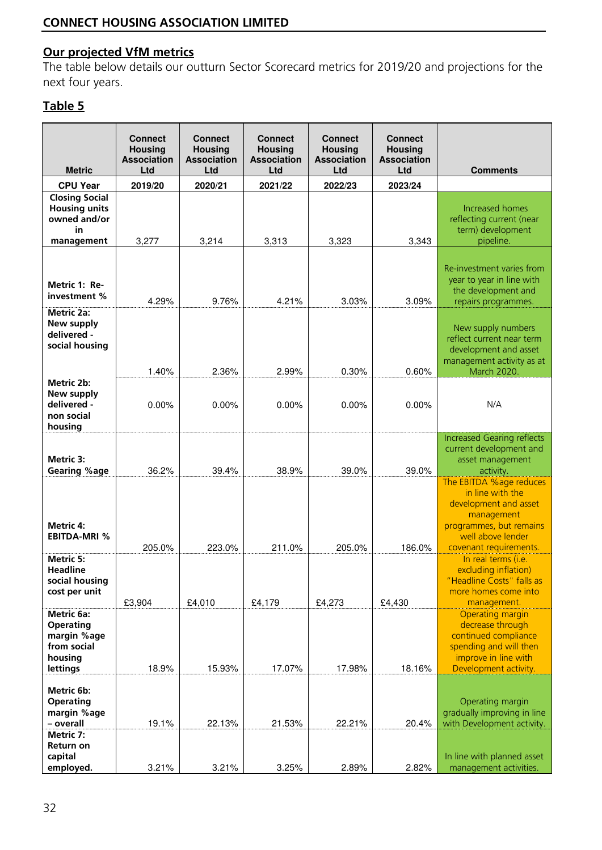## **Our projected VfM metrics**

The table below details our outturn Sector Scorecard metrics for 2019/20 and projections for the next four years.

| <b>Metric</b>                                                                       | <b>Connect</b><br><b>Housing</b><br><b>Association</b><br><b>Ltd</b> | <b>Connect</b><br><b>Housing</b><br><b>Association</b><br>Ltd | <b>Connect</b><br><b>Housing</b><br><b>Association</b><br>Ltd | <b>Connect</b><br><b>Housing</b><br><b>Association</b><br>Ltd | <b>Connect</b><br><b>Housing</b><br><b>Association</b><br>Ltd | <b>Comments</b>                                                                                                                                |
|-------------------------------------------------------------------------------------|----------------------------------------------------------------------|---------------------------------------------------------------|---------------------------------------------------------------|---------------------------------------------------------------|---------------------------------------------------------------|------------------------------------------------------------------------------------------------------------------------------------------------|
| <b>CPU Year</b>                                                                     | 2019/20                                                              | 2020/21                                                       | 2021/22                                                       | 2022/23                                                       | 2023/24                                                       |                                                                                                                                                |
| <b>Closing Social</b><br><b>Housing units</b><br>owned and/or<br>in                 |                                                                      |                                                               |                                                               |                                                               |                                                               | Increased homes<br>reflecting current (near<br>term) development                                                                               |
| management                                                                          | 3,277                                                                | 3,214                                                         | 3,313                                                         | 3,323                                                         | 3,343                                                         | pipeline.                                                                                                                                      |
| Metric 1: Re-<br>investment %                                                       | 4.29%                                                                | 9.76%                                                         | 4.21%                                                         | 3.03%                                                         | 3.09%                                                         | Re-investment varies from<br>year to year in line with<br>the development and<br>repairs programmes.                                           |
| <b>Metric 2a:</b><br>New supply<br>delivered -<br>social housing                    | 1.40%                                                                | 2.36%                                                         | 2.99%                                                         | 0.30%                                                         | 0.60%                                                         | New supply numbers<br>reflect current near term<br>development and asset<br>management activity as at<br>March 2020.                           |
| Metric 2b:<br>New supply<br>delivered -<br>non social<br>housing                    | 0.00%                                                                | 0.00%                                                         | 0.00%                                                         | 0.00%                                                         | 0.00%                                                         | N/A                                                                                                                                            |
| Metric 3:<br><b>Gearing %age</b>                                                    | 36.2%                                                                | 39.4%                                                         | 38.9%                                                         | 39.0%                                                         | 39.0%                                                         | <b>Increased Gearing reflects</b><br>current development and<br>asset management<br>activity.<br>The EBITDA %age reduces                       |
| Metric 4:<br><b>EBITDA-MRI %</b>                                                    | 205.0%                                                               | 223.0%                                                        | 211.0%                                                        | 205.0%                                                        | 186.0%                                                        | in line with the<br>development and asset<br>management<br>programmes, but remains<br>well above lender<br>covenant requirements.              |
| Metric 5:<br><b>Headline</b><br>social housing<br>cost per unit                     | £3,904                                                               | £4,010                                                        | £4,179                                                        | £4,273                                                        | £4,430                                                        | In real terms (i.e.<br>excluding inflation)<br>"Headline Costs" falls as<br>more homes come into<br>management.                                |
| Metric 6a:<br><b>Operating</b><br>margin %age<br>from social<br>housing<br>lettings | 18.9%                                                                | 15.93%                                                        | 17.07%                                                        | 17.98%                                                        | 18.16%                                                        | <b>Operating margin</b><br>decrease through<br>continued compliance<br>spending and will then<br>improve in line with<br>Development activity. |
| Metric 6b:<br><b>Operating</b><br>margin %age<br>- overall                          | 19.1%                                                                | 22.13%                                                        | 21.53%                                                        | 22.21%                                                        | 20.4%                                                         | Operating margin<br>gradually improving in line<br>with Development activity.                                                                  |
| Metric 7:<br><b>Return on</b><br>capital<br>employed.                               | 3.21%                                                                | 3.21%                                                         | 3.25%                                                         | 2.89%                                                         | 2.82%                                                         | In line with planned asset<br>management activities.                                                                                           |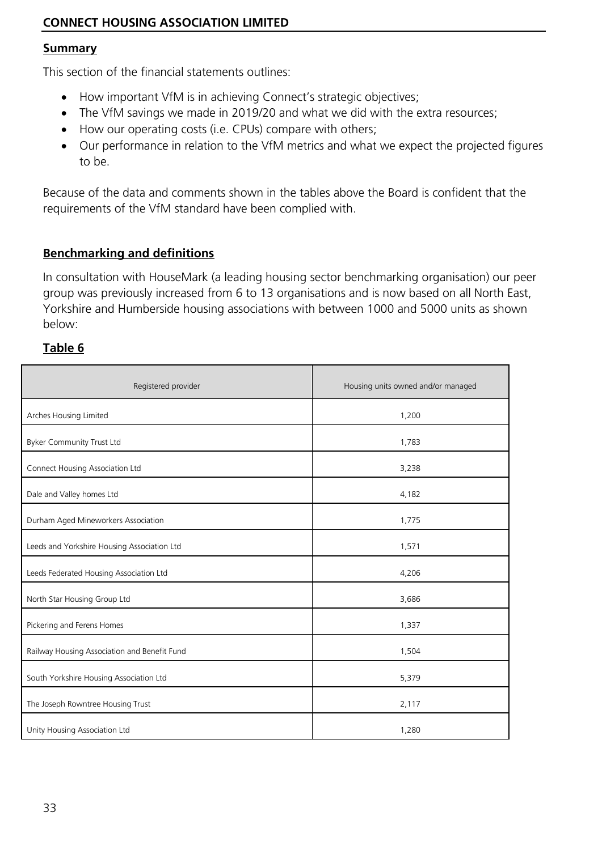#### **Summary**

This section of the financial statements outlines:

- How important VfM is in achieving Connect's strategic objectives;
- The VfM savings we made in 2019/20 and what we did with the extra resources;
- How our operating costs (i.e. CPUs) compare with others;
- Our performance in relation to the VfM metrics and what we expect the projected figures to be.

Because of the data and comments shown in the tables above the Board is confident that the requirements of the VfM standard have been complied with.

#### **Benchmarking and definitions**

In consultation with HouseMark (a leading housing sector benchmarking organisation) our peer group was previously increased from 6 to 13 organisations and is now based on all North East, Yorkshire and Humberside housing associations with between 1000 and 5000 units as shown below:

| Registered provider                          | Housing units owned and/or managed |  |  |
|----------------------------------------------|------------------------------------|--|--|
| Arches Housing Limited                       | 1,200                              |  |  |
| <b>Byker Community Trust Ltd</b>             | 1,783                              |  |  |
| Connect Housing Association Ltd              | 3,238                              |  |  |
| Dale and Valley homes Ltd                    | 4,182                              |  |  |
| Durham Aged Mineworkers Association          | 1,775                              |  |  |
| Leeds and Yorkshire Housing Association Ltd  | 1,571                              |  |  |
| Leeds Federated Housing Association Ltd      | 4,206                              |  |  |
| North Star Housing Group Ltd                 | 3,686                              |  |  |
| Pickering and Ferens Homes                   | 1,337                              |  |  |
| Railway Housing Association and Benefit Fund | 1,504                              |  |  |
| South Yorkshire Housing Association Ltd      | 5,379                              |  |  |
| The Joseph Rowntree Housing Trust            | 2,117                              |  |  |
| Unity Housing Association Ltd                | 1,280                              |  |  |